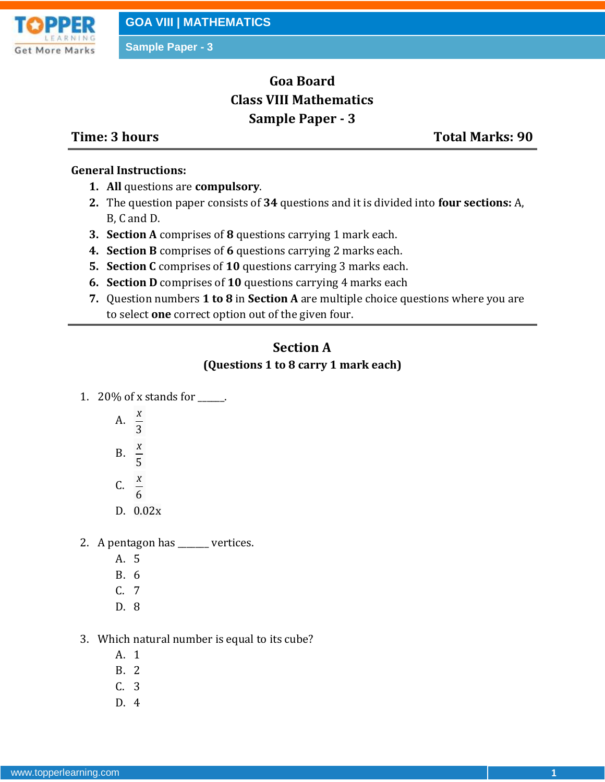

# **Goa Board Class VIII Mathematics Sample Paper - 3**

**Time: 3 hours Total Marks: 90**

#### **General Instructions:**

- **1. All** questions are **compulsory**.
- **2.** The question paper consists of **34** questions and it is divided into **four sections:** A, B, C and D.
- **3. Section A** comprises of **8** questions carrying 1 mark each.
- **4. Section B** comprises of **6** questions carrying 2 marks each.
- **5. Section C** comprises of **10** questions carrying 3 marks each.
- **6. Section D** comprises of **10** questions carrying 4 marks each
- **7.** Question numbers **1 to 8** in **Section A** are multiple choice questions where you are to select **one** correct option out of the given four.

## **Section A**

### **(Questions 1 to 8 carry 1 mark each)**

- 1. 20% of x stands for \_\_\_\_\_\_.
	- A. 3 *x*
	- *x*
	- B. 5
	- C. 6 *x*
	- D. 0.02x
- 2. A pentagon has \_\_\_\_\_\_\_ vertices.
	- A. 5
	- B. 6
	- C. 7
	- D. 8
- 3. Which natural number is equal to its cube?
	- A. 1
	- B. 2
	- C. 3
	- D. 4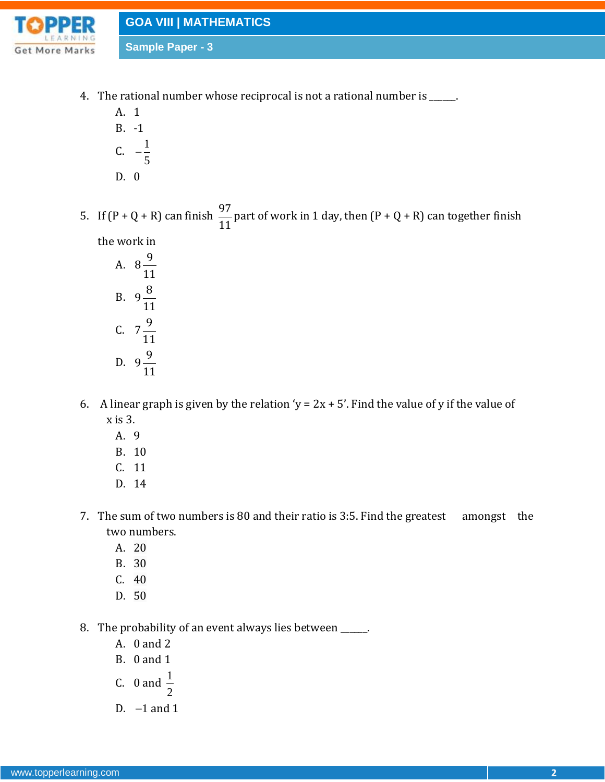

- 4. The rational number whose reciprocal is not a rational number is \_\_\_\_\_.
	- A. 1 B. -1 C.  $-\frac{1}{2}$ 5  $\overline{a}$ D. 0
- 5. If  $(P + Q + R)$  can finish  $\frac{97}{11}$ 11 part of work in 1 day, then  $(P + Q + R)$  can together finish

the work in

A. 
$$
8\frac{9}{11}
$$
  
\nB.  $9\frac{8}{11}$   
\nC.  $7\frac{9}{11}$   
\nD.  $9\frac{9}{11}$ 

- 6. A linear graph is given by the relation 'y =  $2x + 5'$ . Find the value of y if the value of x is 3.
	- A. 9
	- B. 10
	- C. 11
	- D. 14
- 7. The sum of two numbers is 80 and their ratio is 3:5. Find the greatest amongst the two numbers.
	- A. 20
	- B. 30
	- C. 40
	- D. 50
- 8. The probability of an event always lies between \_\_\_\_\_\_.
	- A. 0 and 2
	- B. 0 and 1

C. 0 and 
$$
\frac{1}{2}
$$

D.  $-1$  and 1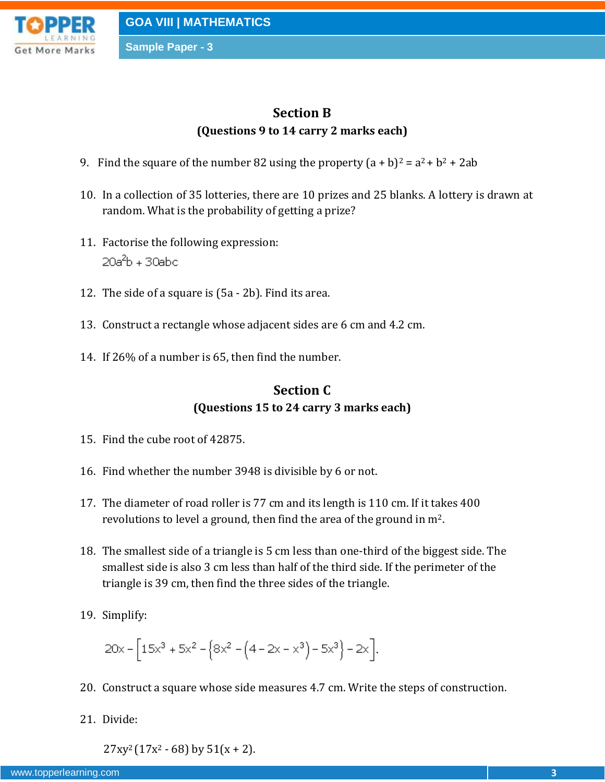

## **Section B (Questions 9 to 14 carry 2 marks each)**

- 9. Find the square of the number 82 using the property  $(a + b)^2 = a^2 + b^2 + 2ab$
- 10. In a collection of 35 lotteries, there are 10 prizes and 25 blanks. A lottery is drawn at random. What is the probability of getting a prize?
- 11. Factorise the following expression: 20a<sup>2</sup>b + 30abc
- 12. The side of a square is (5a 2b). Find its area.
- 13. Construct a rectangle whose adjacent sides are 6 cm and 4.2 cm.
- 14. If 26% of a number is 65, then find the number.

## **Section C (Questions 15 to 24 carry 3 marks each)**

- 15. Find the cube root of 42875.
- 16. Find whether the number 3948 is divisible by 6 or not.
- 17. The diameter of road roller is 77 cm and its length is 110 cm. If it takes 400 revolutions to level a ground, then find the area of the ground in m2.
- 18. The smallest side of a triangle is 5 cm less than one-third of the biggest side. The smallest side is also 3 cm less than half of the third side. If the perimeter of the triangle is 39 cm, then find the three sides of the triangle.
- 19. Simplify:

$$
20x - \left[15x^3 + 5x^2 - \left(8x^2 - \left(4 - 2x - x^3\right) - 5x^3\right) - 2x\right].
$$

- 20. Construct a square whose side measures 4.7 cm. Write the steps of construction.
- 21. Divide:

 $27xy^{2}(17x^{2}-68)$  by  $51(x + 2)$ .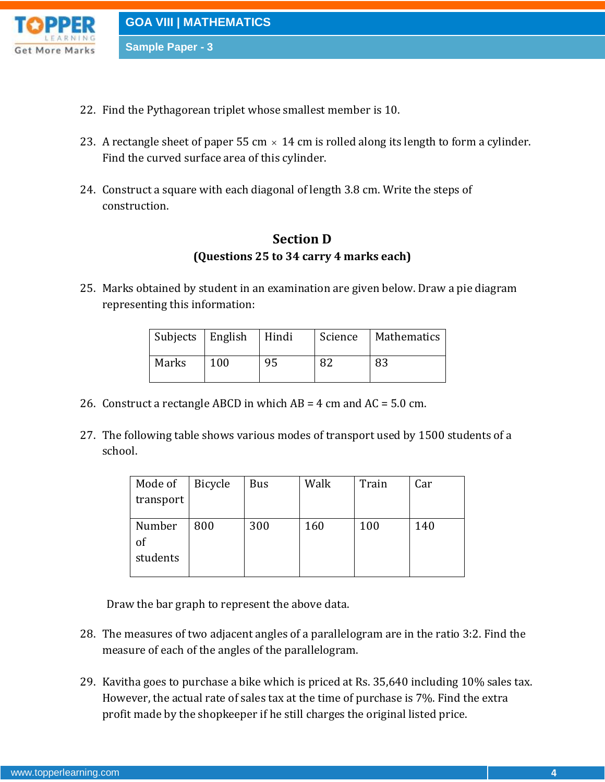

- 22. Find the Pythagorean triplet whose smallest member is 10.
- 23. A rectangle sheet of paper 55 cm  $\times$  14 cm is rolled along its length to form a cylinder. Find the curved surface area of this cylinder.
- 24. Construct a square with each diagonal of length 3.8 cm. Write the steps of construction.

## **Section D (Questions 25 to 34 carry 4 marks each)**

25. Marks obtained by student in an examination are given below. Draw a pie diagram representing this information:

| Subjects   English |     | Hindi | Science | Mathematics |
|--------------------|-----|-------|---------|-------------|
| Marks              | 100 | 95    | 82      | 83          |

- 26. Construct a rectangle ABCD in which AB = 4 cm and AC = 5.0 cm.
- 27. The following table shows various modes of transport used by 1500 students of a school.

| Mode of   | <b>Bicycle</b> | <b>Bus</b> | Walk | Train | Car |
|-----------|----------------|------------|------|-------|-----|
| transport |                |            |      |       |     |
|           |                |            |      |       |     |
| Number    | 800            | 300        | 160  | 100   | 140 |
| of        |                |            |      |       |     |
| students  |                |            |      |       |     |
|           |                |            |      |       |     |

Draw the bar graph to represent the above data.

- 28. The measures of two adjacent angles of a parallelogram are in the ratio 3:2. Find the measure of each of the angles of the parallelogram.
- 29. Kavitha goes to purchase a bike which is priced at Rs. 35,640 including 10% sales tax. However, the actual rate of sales tax at the time of purchase is 7%. Find the extra profit made by the shopkeeper if he still charges the original listed price.